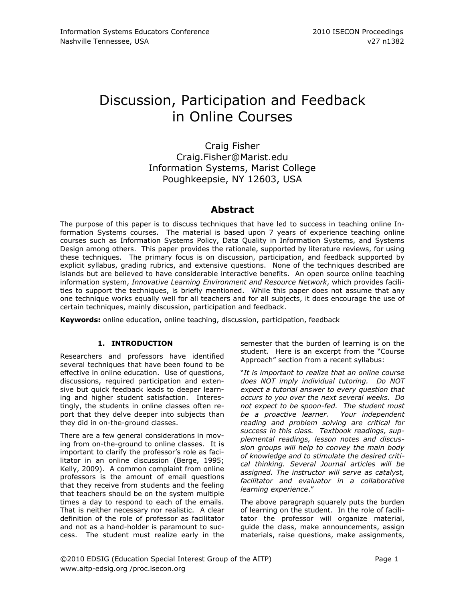# Discussion, Participation and Feedback in Online Courses

Craig Fisher Craig.Fisher@Marist.edu Information Systems, Marist College Poughkeepsie, NY 12603, USA

# **Abstract**

The purpose of this paper is to discuss techniques that have led to success in teaching online Information Systems courses. The material is based upon 7 years of experience teaching online courses such as Information Systems Policy, Data Quality in Information Systems, and Systems Design among others. This paper provides the rationale, supported by literature reviews, for using these techniques. The primary focus is on discussion, participation, and feedback supported by explicit syllabus, grading rubrics, and extensive questions. None of the techniques described are islands but are believed to have considerable interactive benefits. An open source online teaching information system, *Innovative Learning Environment and Resource Network*, which provides facilities to support the techniques, is briefly mentioned. While this paper does not assume that any one technique works equally well for all teachers and for all subjects, it does encourage the use of certain techniques, mainly discussion, participation and feedback.

**Keywords:** online education, online teaching, discussion, participation, feedback

# **1. INTRODUCTION**

Researchers and professors have identified several techniques that have been found to be effective in online education. Use of questions, discussions, required participation and extensive but quick feedback leads to deeper learning and higher student satisfaction. Interestingly, the students in online classes often report that they delve deeper into subjects than they did in on-the-ground classes.

There are a few general considerations in moving from on-the-ground to online classes. It is important to clarify the professor's role as facilitator in an online discussion (Berge, 1995; Kelly, 2009). A common complaint from online professors is the amount of email questions that they receive from students and the feeling that teachers should be on the system multiple times a day to respond to each of the emails. That is neither necessary nor realistic. A clear definition of the role of professor as facilitator and not as a hand-holder is paramount to success. The student must realize early in the semester that the burden of learning is on the student. Here is an excerpt from the "Course Approach" section from a recent syllabus:

"*It is important to realize that an online course does NOT imply individual tutoring. Do NOT expect a tutorial answer to every question that occurs to you over the next several weeks. Do not expect to be spoon-fed. The student must be a proactive learner. Your independent reading and problem solving are critical for success in this class. Textbook readings, supplemental readings, lesson notes and discussion groups will help to convey the main body of knowledge and to stimulate the desired critical thinking. Several Journal articles will be assigned. The instructor will serve as catalyst, facilitator and evaluator in a collaborative learning experience*."

The above paragraph squarely puts the burden of learning on the student. In the role of facilitator the professor will organize material, guide the class, make announcements, assign materials, raise questions, make assignments,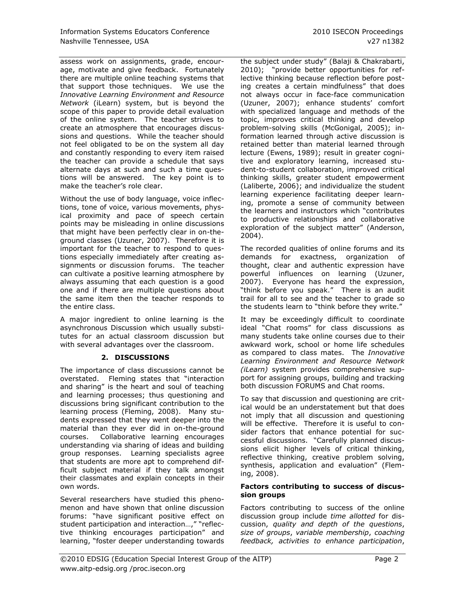assess work on assignments, grade, encourage, motivate and give feedback. Fortunately there are multiple online teaching systems that that support those techniques. We use the *Innovative Learning Environment and Resource Network* (iLearn) system, but is beyond the scope of this paper to provide detail evaluation of the online system. The teacher strives to create an atmosphere that encourages discussions and questions. While the teacher should not feel obligated to be on the system all day and constantly responding to every item raised the teacher can provide a schedule that says alternate days at such and such a time questions will be answered. The key point is to make the teacher's role clear.

Without the use of body language, voice inflections, tone of voice, various movements, physical proximity and pace of speech certain points may be misleading in online discussions that might have been perfectly clear in on-theground classes (Uzuner, 2007). Therefore it is important for the teacher to respond to questions especially immediately after creating assignments or discussion forums. The teacher can cultivate a positive learning atmosphere by always assuming that each question is a good one and if there are multiple questions about the same item then the teacher responds to the entire class.

A major ingredient to online learning is the asynchronous Discussion which usually substitutes for an actual classroom discussion but with several advantages over the classroom.

# **2. DISCUSSIONS**

The importance of class discussions cannot be overstated. Fleming states that "interaction and sharing" is the heart and soul of teaching and learning processes; thus questioning and discussions bring significant contribution to the learning process (Fleming, 2008). Many students expressed that they went deeper into the material than they ever did in on-the-ground courses. Collaborative learning encourages understanding via sharing of ideas and building group responses. Learning specialists agree that students are more apt to comprehend difficult subject material if they talk amongst their classmates and explain concepts in their own words.

Several researchers have studied this phenomenon and have shown that online discussion forums: "have significant positive effect on student participation and interaction…," "reflective thinking encourages participation" and learning, "foster deeper understanding towards

the subject under study" (Balaji & Chakrabarti, 2010); "provide better opportunities for reflective thinking because reflection before posting creates a certain mindfulness" that does not always occur in face-face communication (Uzuner, 2007); enhance students' comfort with specialized language and methods of the topic, improves critical thinking and develop problem-solving skills (McGonigal, 2005); information learned through active discussion is retained better than material learned through lecture (Ewens, 1989); result in greater cognitive and exploratory learning, increased student-to-student collaboration, improved critical thinking skills, greater student empowerment (Laliberte, 2006); and individualize the student learning experience facilitating deeper learning, promote a sense of community between the learners and instructors which "contributes to productive relationships and collaborative exploration of the subject matter" (Anderson, 2004).

The recorded qualities of online forums and its demands for exactness, organization of thought, clear and authentic expression have powerful influences on learning (Uzuner, 2007). Everyone has heard the expression, "think before you speak." There is an audit trail for all to see and the teacher to grade so the students learn to "think before they write."

It may be exceedingly difficult to coordinate ideal "Chat rooms" for class discussions as many students take online courses due to their awkward work, school or home life schedules as compared to class mates. The *Innovative Learning Environment and Resource Network (iLearn)* system provides comprehensive support for assigning groups, building and tracking both discussion FORUMS and Chat rooms.

To say that discussion and questioning are critical would be an understatement but that does not imply that all discussion and questioning will be effective. Therefore it is useful to consider factors that enhance potential for successful discussions. "Carefully planned discussions elicit higher levels of critical thinking, reflective thinking, creative problem solving, synthesis, application and evaluation" (Fleming, 2008).

#### **Factors contributing to success of discussion groups**

Factors contributing to success of the online discussion group include *time allotted* for discussion, *quality and depth of the questions*, *size of groups*, *variable membership*, *coaching feedback, activities to enhance participation*,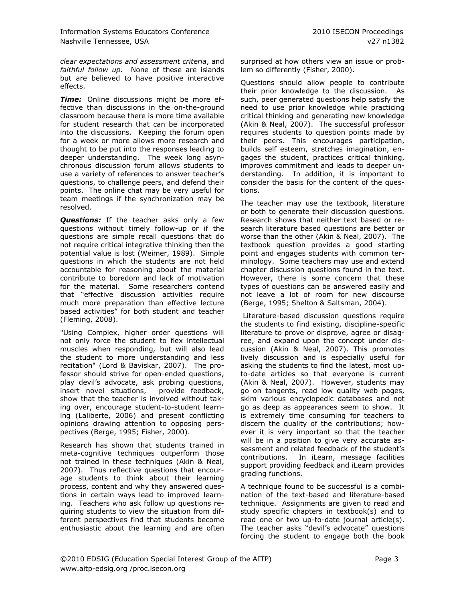*clear expectations and assessment criteria*, and *faithful follow up.* None of these are islands but are believed to have positive interactive effects.

*Time:* Online discussions might be more effective than discussions in the on-the-ground classroom because there is more time available for student research that can be incorporated into the discussions. Keeping the forum open for a week or more allows more research and thought to be put into the responses leading to deeper understanding. The week long asynchronous discussion forum allows students to use a variety of references to answer teacher's questions, to challenge peers, and defend their points. The online chat may be very useful for team meetings if the synchronization may be resolved.

*Questions:* If the teacher asks only a few questions without timely follow-up or if the questions are simple recall questions that do not require critical integrative thinking then the potential value is lost (Weimer, 1989). Simple questions in which the students are not held accountable for reasoning about the material contribute to boredom and lack of motivation for the material. Some researchers contend that "effective discussion activities require much more preparation than effective lecture based activities" for both student and teacher (Fleming, 2008).

"Using Complex, higher order questions will not only force the student to flex intellectual muscles when responding, but will also lead the student to more understanding and less recitation" (Lord & Baviskar, 2007). The professor should strive for open-ended questions, play devil"s advocate, ask probing questions, insert novel situations, provide feedback, show that the teacher is involved without taking over, encourage student-to-student learning (Laliberte, 2006) and present conflicting opinions drawing attention to opposing perspectives (Berge, 1995; Fisher, 2000).

Research has shown that students trained in meta-cognitive techniques outperform those not trained in these techniques (Akin & Neal, 2007). Thus reflective questions that encourage students to think about their learning process, content and why they answered questions in certain ways lead to improved learning. Teachers who ask follow up questions requiring students to view the situation from different perspectives find that students become enthusiastic about the learning and are often surprised at how others view an issue or problem so differently (Fisher, 2000).

Questions should allow people to contribute their prior knowledge to the discussion. As such, peer generated questions help satisfy the need to use prior knowledge while practicing critical thinking and generating new knowledge (Akin & Neal, 2007). The successful professor requires students to question points made by their peers. This encourages participation, builds self esteem, stretches imagination, engages the student, practices critical thinking, improves commitment and leads to deeper understanding. In addition, it is important to consider the basis for the content of the questions.

The teacher may use the textbook, literature or both to generate their discussion questions. Research shows that neither text based or research literature based questions are better or worse than the other (Akin & Neal, 2007). The textbook question provides a good starting point and engages students with common terminology. Some teachers may use and extend chapter discussion questions found in the text. However, there is some concern that these types of questions can be answered easily and not leave a lot of room for new discourse (Berge, 1995; Shelton & Saltsman, 2004).

Literature-based discussion questions require the students to find existing, discipline-specific literature to prove or disprove, agree or disagree, and expand upon the concept under discussion (Akin & Neal, 2007). This promotes lively discussion and is especially useful for asking the students to find the latest, most upto-date articles so that everyone is current (Akin & Neal, 2007). However, students may go on tangents, read low quality web pages, skim various encyclopedic databases and not go as deep as appearances seem to show. It is extremely time consuming for teachers to discern the quality of the contributions; however it is very important so that the teacher will be in a position to give very accurate assessment and related feedback of the student's contributions. In iLearn, message facilities support providing feedback and iLearn provides grading functions.

A technique found to be successful is a combination of the text-based and literature-based technique. Assignments are given to read and study specific chapters in textbook(s) and to read one or two up-to-date journal article(s). The teacher asks "devil's advocate" questions forcing the student to engage both the book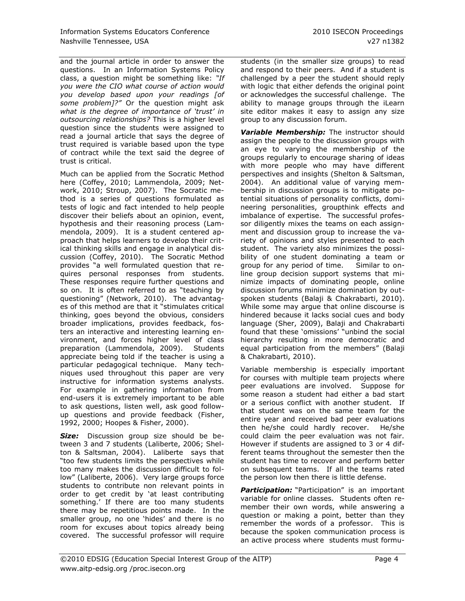and the journal article in order to answer the questions. In an Information Systems Policy class, a question might be something like: *"If you were the CIO what course of action would you develop based upon your readings [of some problem]?"* Or the question might ask *what is the degree of importance of "trust" in outsourcing relationships?* This is a higher level question since the students were assigned to read a journal article that says the degree of trust required is variable based upon the type of contract while the text said the degree of trust is critical.

Much can be applied from the Socratic Method here (Coffey, 2010; Lammendola, 2009; Network, 2010; Stroup, 2007). The Socratic method is a series of questions formulated as tests of logic and fact intended to help people discover their beliefs about an opinion, event, hypothesis and their reasoning process (Lammendola, 2009). It is a student centered approach that helps learners to develop their critical thinking skills and engage in analytical discussion (Coffey, 2010). The Socratic Method provides "a well formulated question that requires personal responses from students. These responses require further questions and so on. It is often referred to as "teaching by questioning" (Network, 2010). The advantages of this method are that it "stimulates critical thinking, goes beyond the obvious, considers broader implications, provides feedback, fosters an interactive and interesting learning environment, and forces higher level of class preparation (Lammendola, 2009). Students appreciate being told if the teacher is using a particular pedagogical technique. Many techniques used throughout this paper are very instructive for information systems analysts. For example in gathering information from end-users it is extremely important to be able to ask questions, listen well, ask good followup questions and provide feedback (Fisher, 1992, 2000; Hoopes & Fisher, 2000).

*Size:* Discussion group size should be between 3 and 7 students (Laliberte, 2006; Shelton & Saltsman, 2004). Laliberte says that "too few students limits the perspectives while too many makes the discussion difficult to follow" (Laliberte, 2006). Very large groups force students to contribute non relevant points in order to get credit by "at least contributing something.' If there are too many students there may be repetitious points made. In the smaller group, no one 'hides' and there is no room for excuses about topics already being covered. The successful professor will require students (in the smaller size groups) to read and respond to their peers. And if a student is challenged by a peer the student should reply with logic that either defends the original point or acknowledges the successful challenge. The ability to manage groups through the iLearn site editor makes it easy to assign any size group to any discussion forum.

*Variable Membership:* The instructor should assign the people to the discussion groups with an eye to varying the membership of the groups regularly to encourage sharing of ideas with more people who may have different perspectives and insights (Shelton & Saltsman, 2004). An additional value of varying membership in discussion groups is to mitigate potential situations of personality conflicts, domineering personalities, groupthink effects and imbalance of expertise. The successful professor diligently mixes the teams on each assignment and discussion group to increase the variety of opinions and styles presented to each student. The variety also minimizes the possibility of one student dominating a team or group for any period of time. Similar to online group decision support systems that minimize impacts of dominating people, online discussion forums minimize domination by outspoken students (Balaji & Chakrabarti, 2010). While some may argue that online discourse is hindered because it lacks social cues and body language (Sher, 2009), Balaji and Chakrabarti found that these "omissions" "unbind the social hierarchy resulting in more democratic and equal participation from the members" (Balaji & Chakrabarti, 2010).

Variable membership is especially important for courses with multiple team projects where peer evaluations are involved. Suppose for some reason a student had either a bad start or a serious conflict with another student. If that student was on the same team for the entire year and received bad peer evaluations then he/she could hardly recover. He/she could claim the peer evaluation was not fair. However if students are assigned to 3 or 4 different teams throughout the semester then the student has time to recover and perform better on subsequent teams. If all the teams rated the person low then there is little defense.

**Participation:** "Participation" is an important variable for online classes. Students often remember their own words, while answering a question or making a point, better than they remember the words of a professor. This is because the spoken communication process is an active process where students must formu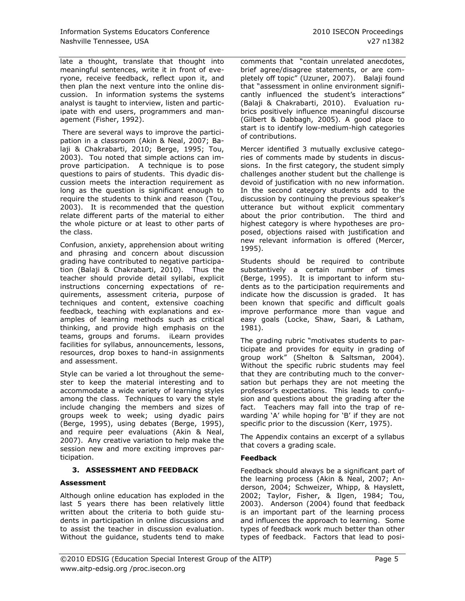late a thought, translate that thought into meaningful sentences, write it in front of everyone, receive feedback, reflect upon it, and then plan the next venture into the online discussion. In information systems the systems analyst is taught to interview, listen and participate with end users, programmers and management (Fisher, 1992).

There are several ways to improve the participation in a classroom (Akin & Neal, 2007; Balaji & Chakrabarti, 2010; Berge, 1995; Tou, 2003). Tou noted that simple actions can improve participation. A technique is to pose questions to pairs of students. This dyadic discussion meets the interaction requirement as long as the question is significant enough to require the students to think and reason (Tou, 2003). It is recommended that the question relate different parts of the material to either the whole picture or at least to other parts of the class.

Confusion, anxiety, apprehension about writing and phrasing and concern about discussion grading have contributed to negative participation (Balaji & Chakrabarti, 2010). Thus the teacher should provide detail syllabi, explicit instructions concerning expectations of requirements, assessment criteria, purpose of techniques and content, extensive coaching feedback, teaching with explanations and examples of learning methods such as critical thinking, and provide high emphasis on the teams, groups and forums. iLearn provides facilities for syllabus, announcements, lessons, resources, drop boxes to hand-in assignments and assessment.

Style can be varied a lot throughout the semester to keep the material interesting and to accommodate a wide variety of learning styles among the class. Techniques to vary the style include changing the members and sizes of groups week to week; using dyadic pairs (Berge, 1995), using debates (Berge, 1995), and require peer evaluations (Akin & Neal, 2007). Any creative variation to help make the session new and more exciting improves participation.

# **3. ASSESSMENT AND FEEDBACK**

# **Assessment**

Although online education has exploded in the last 5 years there has been relatively little written about the criteria to both guide students in participation in online discussions and to assist the teacher in discussion evaluation. Without the guidance, students tend to make

comments that "contain unrelated anecdotes, brief agree/disagree statements, or are completely off topic" (Uzuner, 2007). Balaji found that "assessment in online environment significantly influenced the student's interactions" (Balaji & Chakrabarti, 2010). Evaluation rubrics positively influence meaningful discourse (Gilbert & Dabbagh, 2005). A good place to start is to identify low-medium-high categories of contributions.

Mercer identified 3 mutually exclusive categories of comments made by students in discussions. In the first category, the student simply challenges another student but the challenge is devoid of justification with no new information. In the second category students add to the discussion by continuing the previous speaker's utterance but without explicit commentary about the prior contribution. The third and highest category is where hypotheses are proposed, objections raised with justification and new relevant information is offered (Mercer, 1995).

Students should be required to contribute substantively a certain number of times (Berge, 1995). It is important to inform students as to the participation requirements and indicate how the discussion is graded. It has been known that specific and difficult goals improve performance more than vague and easy goals (Locke, Shaw, Saari, & Latham, 1981).

The grading rubric "motivates students to participate and provides for equity in grading of group work" (Shelton & Saltsman, 2004). Without the specific rubric students may feel that they are contributing much to the conversation but perhaps they are not meeting the professor"s expectations. This leads to confusion and questions about the grading after the fact. Teachers may fall into the trap of rewarding 'A' while hoping for 'B' if they are not specific prior to the discussion (Kerr, 1975).

The Appendix contains an excerpt of a syllabus that covers a grading scale.

#### **Feedback**

Feedback should always be a significant part of the learning process (Akin & Neal, 2007; Anderson, 2004; Schweizer, Whipp, & Hayslett, 2002; Taylor, Fisher, & Ilgen, 1984; Tou, 2003). Anderson (2004) found that feedback is an important part of the learning process and influences the approach to learning. Some types of feedback work much better than other types of feedback. Factors that lead to posi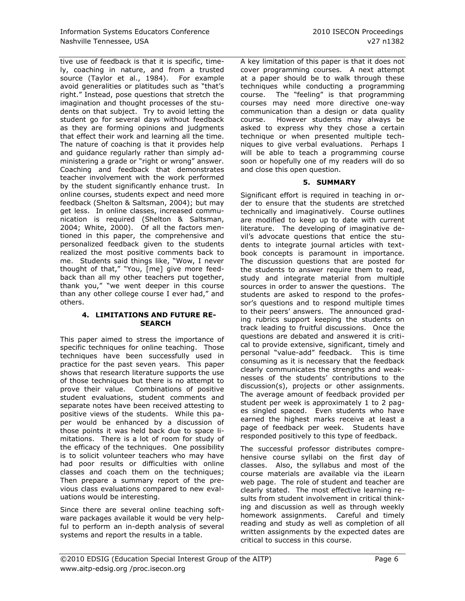tive use of feedback is that it is specific, timely, coaching in nature, and from a trusted source (Taylor et al., 1984). For example avoid generalities or platitudes such as "that"s right." Instead, pose questions that stretch the imagination and thought processes of the students on that subject. Try to avoid letting the student go for several days without feedback as they are forming opinions and judgments that effect their work and learning all the time. The nature of coaching is that it provides help and guidance regularly rather than simply administering a grade or "right or wrong" answer. Coaching and feedback that demonstrates teacher involvement with the work performed by the student significantly enhance trust. In online courses, students expect and need more feedback (Shelton & Saltsman, 2004); but may get less. In online classes, increased communication is required (Shelton & Saltsman, 2004; White, 2000). Of all the factors mentioned in this paper, the comprehensive and personalized feedback given to the students realized the most positive comments back to me. Students said things like, "Wow, I never thought of that," "You, [me] give more feedback than all my other teachers put together, thank you," "we went deeper in this course than any other college course I ever had," and others.

#### **4. LIMITATIONS AND FUTURE RE-SEARCH**

This paper aimed to stress the importance of specific techniques for online teaching. Those techniques have been successfully used in practice for the past seven years. This paper shows that research literature supports the use of those techniques but there is no attempt to prove their value. Combinations of positive student evaluations, student comments and separate notes have been received attesting to positive views of the students. While this paper would be enhanced by a discussion of those points it was held back due to space limitations. There is a lot of room for study of the efficacy of the techniques. One possibility is to solicit volunteer teachers who may have had poor results or difficulties with online classes and coach them on the techniques; Then prepare a summary report of the previous class evaluations compared to new evaluations would be interesting.

Since there are several online teaching software packages available it would be very helpful to perform an in-depth analysis of several systems and report the results in a table.

A key limitation of this paper is that it does not cover programming courses. A next attempt at a paper should be to walk through these techniques while conducting a programming course. The "feeling" is that programming courses may need more directive one-way communication than a design or data quality course. However students may always be asked to express why they chose a certain technique or when presented multiple techniques to give verbal evaluations. Perhaps I will be able to teach a programming course soon or hopefully one of my readers will do so and close this open question.

#### **5. SUMMARY**

Significant effort is required in teaching in order to ensure that the students are stretched technically and imaginatively. Course outlines are modified to keep up to date with current literature. The developing of imaginative devil"s advocate questions that entice the students to integrate journal articles with textbook concepts is paramount in importance. The discussion questions that are posted for the students to answer require them to read, study and integrate material from multiple sources in order to answer the questions. The students are asked to respond to the professor"s questions and to respond multiple times to their peers' answers. The announced grading rubrics support keeping the students on track leading to fruitful discussions. Once the questions are debated and answered it is critical to provide extensive, significant, timely and personal "value-add" feedback. This is time consuming as it is necessary that the feedback clearly communicates the strengths and weaknesses of the students' contributions to the discussion(s), projects or other assignments. The average amount of feedback provided per student per week is approximately 1 to 2 pages singled spaced. Even students who have earned the highest marks receive at least a page of feedback per week. Students have responded positively to this type of feedback.

The successful professor distributes comprehensive course syllabi on the first day of classes. Also, the syllabus and most of the course materials are available via the iLearn web page. The role of student and teacher are clearly stated. The most effective learning results from student involvement in critical thinking and discussion as well as through weekly homework assignments. Careful and timely reading and study as well as completion of all written assignments by the expected dates are critical to success in this course.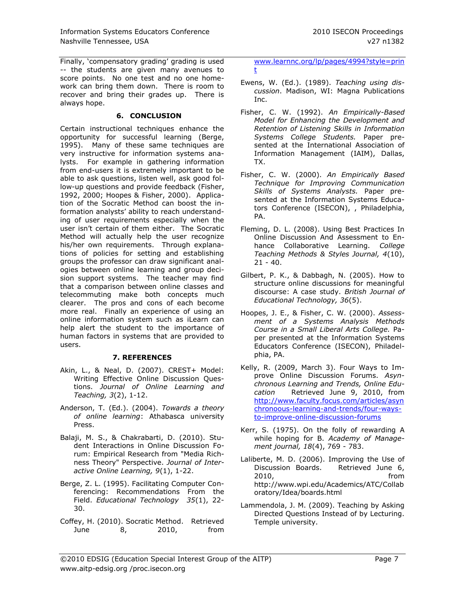Finally, 'compensatory grading' grading is used -- the students are given many avenues to score points. No one test and no one homework can bring them down. There is room to recover and bring their grades up. There is always hope.

#### **6. CONCLUSION**

Certain instructional techniques enhance the opportunity for successful learning (Berge, 1995). Many of these same techniques are very instructive for information systems analysts. For example in gathering information from end-users it is extremely important to be able to ask questions, listen well, ask good follow-up questions and provide feedback (Fisher, 1992, 2000; Hoopes & Fisher, 2000). Application of the Socratic Method can boost the information analysts' ability to reach understanding of user requirements especially when the user isn"t certain of them either. The Socratic Method will actually help the user recognize his/her own requirements. Through explanations of policies for setting and establishing groups the professor can draw significant analogies between online learning and group decision support systems. The teacher may find that a comparison between online classes and telecommuting make both concepts much clearer. The pros and cons of each become more real. Finally an experience of using an online information system such as iLearn can help alert the student to the importance of human factors in systems that are provided to users.

# **7. REFERENCES**

- Akin, L., & Neal, D. (2007). CREST+ Model: Writing Effective Online Discussion Questions. *Journal of Online Learning and Teaching, 3*(2), 1-12.
- Anderson, T. (Ed.). (2004). *Towards a theory of online learning*: Athabasca university Press.
- Balaji, M. S., & Chakrabarti, D. (2010). Student Interactions in Online Discussion Forum: Empirical Research from "Media Richness Theory" Perspective. *Journal of Interactive Online Learning, 9*(1), 1-22.
- Berge, Z. L. (1995). Facilitating Computer Conferencing: Recommendations From the Field. *Educational Technology 35*(1), 22- 30.
- Coffey, H. (2010). Socratic Method. Retrieved June 8, 2010, from

[www.learnnc.org/lp/pages/4994?style=prin](http://www.learnnc.org/lp/pages/4994?style=print) [t](http://www.learnnc.org/lp/pages/4994?style=print)

- Ewens, W. (Ed.). (1989). *Teaching using discussion*. Madison, WI: Magna Publications Inc.
- Fisher, C. W. (1992). *An Empirically-Based Model for Enhancing the Development and Retention of Listening Skills in Information Systems College Students.* Paper presented at the International Association of Information Management (IAIM), Dallas, TX.
- Fisher, C. W. (2000). *An Empirically Based Technique for Improving Communication Skills of Systems Analysts.* Paper presented at the Information Systems Educators Conference (ISECON), , Philadelphia, PA.
- Fleming, D. L. (2008). Using Best Practices In Online Discussion And Assessment to Enhance Collaborative Learning. *College Teaching Methods & Styles Journal, 4*(10),  $21 - 40.$
- Gilbert, P. K., & Dabbagh, N. (2005). How to structure online discussions for meaningful discourse: A case study. *British Journal of Educational Technology, 36*(5).
- Hoopes, J. E., & Fisher, C. W. (2000). *Assessment of a Systems Analysis Methods Course in a Small Liberal Arts College.* Paper presented at the Information Systems Educators Conference (ISECON), Philadelphia, PA.
- Kelly, R. (2009, March 3). Four Ways to Improve Online Discussion Forums. *Asynchronous Learning and Trends, Online Education* Retrieved June 9, 2010, from [http://www.faculty.focus.com/articles/asyn](http://www.faculty.focus.com/articles/asynchronoous-learning-and-trends/four-ways-to-improve-online-discussion-forums) [chronoous-learning-and-trends/four-ways](http://www.faculty.focus.com/articles/asynchronoous-learning-and-trends/four-ways-to-improve-online-discussion-forums)[to-improve-online-discussion-forums](http://www.faculty.focus.com/articles/asynchronoous-learning-and-trends/four-ways-to-improve-online-discussion-forums)
- Kerr, S. (1975). On the folly of rewarding A while hoping for B. *Academy of Management journal, 18*(4), 769 - 783.
- Laliberte, M. D. (2006). Improving the Use of Discussion Boards. Retrieved June 6, 2010, from http://www.wpi.edu/Academics/ATC/Collab oratory/Idea/boards.html
- Lammendola, J. M. (2009). Teaching by Asking Directed Questions Instead of by Lecturing. Temple university.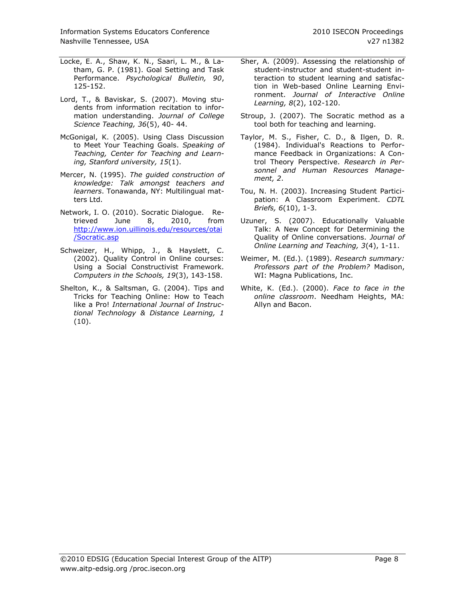- Locke, E. A., Shaw, K. N., Saari, L. M., & Latham, G. P. (1981). Goal Setting and Task Performance. *Psychological Bulletin, 90*, 125-152.
- Lord, T., & Baviskar, S. (2007). Moving students from information recitation to information understanding. *Journal of College Science Teaching, 36*(5), 40- 44.
- McGonigal, K. (2005). Using Class Discussion to Meet Your Teaching Goals. *Speaking of Teaching, Center for Teaching and Learning, Stanford university, 15*(1).
- Mercer, N. (1995). *The guided construction of knowledge: Talk amongst teachers and learners*. Tonawanda, NY: Multilingual matters Ltd.
- Network, I. O. (2010). Socratic Dialogue. Retrieved June 8, 2010, from trieved June 8, 2010, from [http://www.ion.uillinois.edu/resources/otai](http://www.ion.uillinois.edu/resources/otai/Socratic.asp) [/Socratic.asp](http://www.ion.uillinois.edu/resources/otai/Socratic.asp)
- Schweizer, H., Whipp, J., & Hayslett, C. (2002). Quality Control in Online courses: Using a Social Constructivist Framework. *Computers in the Schools, 19*(3), 143-158.
- Shelton, K., & Saltsman, G. (2004). Tips and Tricks for Teaching Online: How to Teach like a Pro! *International Journal of Instructional Technology & Distance Learning, 1*  (10).
- Sher, A. (2009). Assessing the relationship of student-instructor and student-student interaction to student learning and satisfaction in Web-based Online Learning Environment. *Journal of Interactive Online Learning, 8*(2), 102-120.
- Stroup, J. (2007). The Socratic method as a tool both for teaching and learning.
- Taylor, M. S., Fisher, C. D., & Ilgen, D. R. (1984). Individual's Reactions to Performance Feedback in Organizations: A Control Theory Perspective. *Research in Personnel and Human Resources Management, 2*.
- Tou, N. H. (2003). Increasing Student Participation: A Classroom Experiment. *CDTL Briefs, 6*(10), 1-3.
- Uzuner, S. (2007). Educationally Valuable Talk: A New Concept for Determining the Quality of Online conversations. *Journal of Online Learning and Teaching, 3*(4), 1-11.
- Weimer, M. (Ed.). (1989). *Research summary: Professors part of the Problem?* Madison, WI: Magna Publications, Inc.
- White, K. (Ed.). (2000). *Face to face in the online classroom*. Needham Heights, MA: Allyn and Bacon.